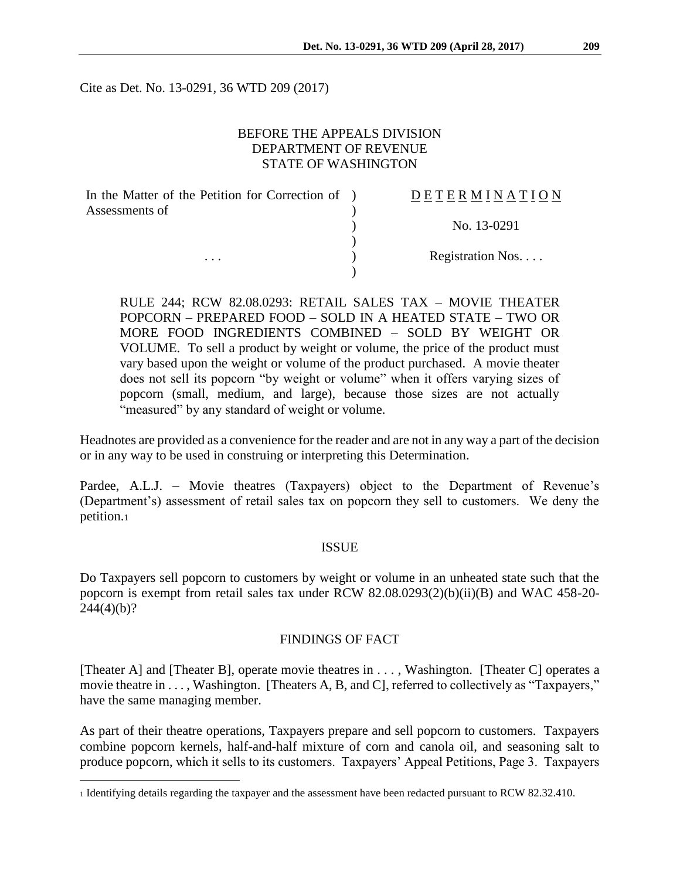Cite as Det. No. 13-0291, 36 WTD 209 (2017)

## BEFORE THE APPEALS DIVISION DEPARTMENT OF REVENUE STATE OF WASHINGTON

| In the Matter of the Petition for Correction of ) | DETERMINATION    |
|---------------------------------------------------|------------------|
| Assessments of                                    |                  |
|                                                   | No. 13-0291      |
|                                                   |                  |
| $\cdots$                                          | Registration Nos |
|                                                   |                  |

RULE 244; RCW 82.08.0293: RETAIL SALES TAX – MOVIE THEATER POPCORN – PREPARED FOOD – SOLD IN A HEATED STATE – TWO OR MORE FOOD INGREDIENTS COMBINED – SOLD BY WEIGHT OR VOLUME. To sell a product by weight or volume, the price of the product must vary based upon the weight or volume of the product purchased. A movie theater does not sell its popcorn "by weight or volume" when it offers varying sizes of popcorn (small, medium, and large), because those sizes are not actually "measured" by any standard of weight or volume.

Headnotes are provided as a convenience for the reader and are not in any way a part of the decision or in any way to be used in construing or interpreting this Determination.

Pardee, A.L.J. – Movie theatres (Taxpayers) object to the Department of Revenue's (Department's) assessment of retail sales tax on popcorn they sell to customers. We deny the petition.<sup>1</sup>

#### ISSUE

Do Taxpayers sell popcorn to customers by weight or volume in an unheated state such that the popcorn is exempt from retail sales tax under RCW 82.08.0293(2)(b)(ii)(B) and WAC 458-20-  $244(4)(b)?$ 

#### FINDINGS OF FACT

[Theater A] and [Theater B], operate movie theatres in . . . , Washington. [Theater C] operates a movie theatre in . . . , Washington. [Theaters A, B, and C], referred to collectively as "Taxpayers," have the same managing member.

As part of their theatre operations, Taxpayers prepare and sell popcorn to customers. Taxpayers combine popcorn kernels, half-and-half mixture of corn and canola oil, and seasoning salt to produce popcorn, which it sells to its customers. Taxpayers' Appeal Petitions, Page 3. Taxpayers

 $\overline{a}$ 

<sup>1</sup> Identifying details regarding the taxpayer and the assessment have been redacted pursuant to RCW 82.32.410.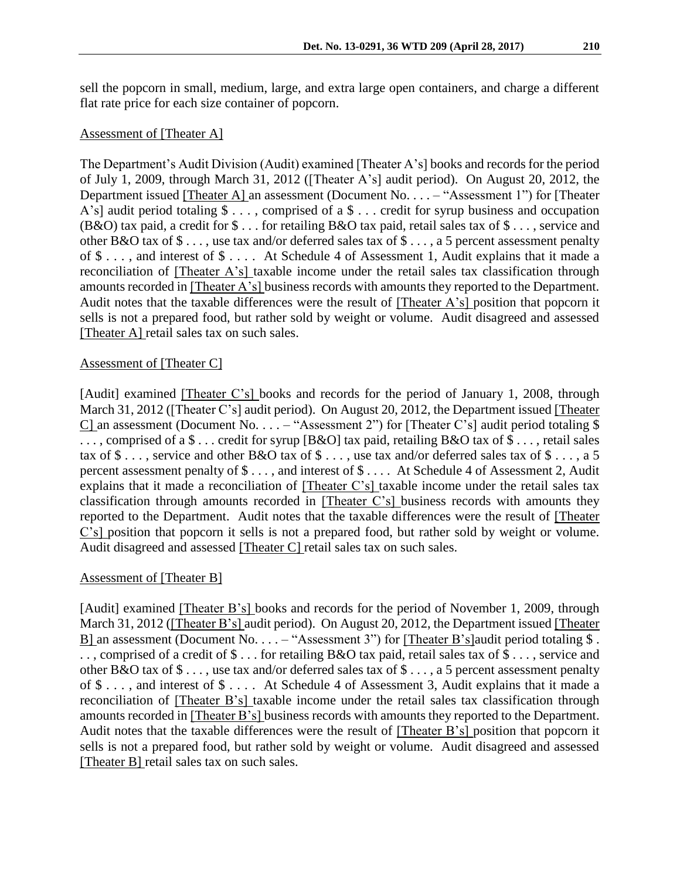sell the popcorn in small, medium, large, and extra large open containers, and charge a different flat rate price for each size container of popcorn.

# Assessment of [Theater A]

The Department's Audit Division (Audit) examined [Theater A's] books and records for the period of July 1, 2009, through March 31, 2012 ([Theater A's] audit period). On August 20, 2012, the Department issued [Theater A] an assessment (Document No. . . . – "Assessment 1") for [Theater A's] audit period totaling \$ . . . , comprised of a \$ . . . credit for syrup business and occupation (B&O) tax paid, a credit for \$ . . . for retailing B&O tax paid, retail sales tax of \$ . . . , service and other B&O tax of \$ . . . , use tax and/or deferred sales tax of \$ . . . , a 5 percent assessment penalty of \$ . . . , and interest of \$ . . . . At Schedule 4 of Assessment 1, Audit explains that it made a reconciliation of [Theater A's] taxable income under the retail sales tax classification through amounts recorded in [Theater A's] business records with amounts they reported to the Department. Audit notes that the taxable differences were the result of [Theater A's] position that popcorn it sells is not a prepared food, but rather sold by weight or volume. Audit disagreed and assessed [Theater A] retail sales tax on such sales.

#### Assessment of [Theater C]

[Audit] examined [Theater C's] books and records for the period of January 1, 2008, through March 31, 2012 ([Theater C's] audit period). On August 20, 2012, the Department issued [Theater C] an assessment (Document No.  $\dots$  – "Assessment 2") for [Theater C's] audit period totaling \$ ..., comprised of a  $\$\dots$  credit for syrup [B&O] tax paid, retailing B&O tax of  $\$\dots$ , retail sales tax of \$..., service and other B&O tax of \$..., use tax and/or deferred sales tax of \$..., a 5 percent assessment penalty of \$ . . . , and interest of \$ . . . . At Schedule 4 of Assessment 2, Audit explains that it made a reconciliation of [Theater C's] taxable income under the retail sales tax classification through amounts recorded in [Theater C's] business records with amounts they reported to the Department. Audit notes that the taxable differences were the result of [Theater C's] position that popcorn it sells is not a prepared food, but rather sold by weight or volume. Audit disagreed and assessed [Theater C] retail sales tax on such sales.

## Assessment of [Theater B]

[Audit] examined [Theater B's] books and records for the period of November 1, 2009, through March 31, 2012 ([Theater B's] audit period). On August 20, 2012, the Department issued [Theater B] an assessment (Document No. . . . – "Assessment 3") for [Theater B's] audit period totaling \$. . . , comprised of a credit of \$ . . . for retailing B&O tax paid, retail sales tax of \$ . . . , service and other B&O tax of \$ . . . , use tax and/or deferred sales tax of \$ . . . , a 5 percent assessment penalty of \$ . . . , and interest of \$ . . . . At Schedule 4 of Assessment 3, Audit explains that it made a reconciliation of [Theater B's] taxable income under the retail sales tax classification through amounts recorded in [Theater B's] business records with amounts they reported to the Department. Audit notes that the taxable differences were the result of [Theater B's] position that popcorn it sells is not a prepared food, but rather sold by weight or volume. Audit disagreed and assessed [Theater B] retail sales tax on such sales.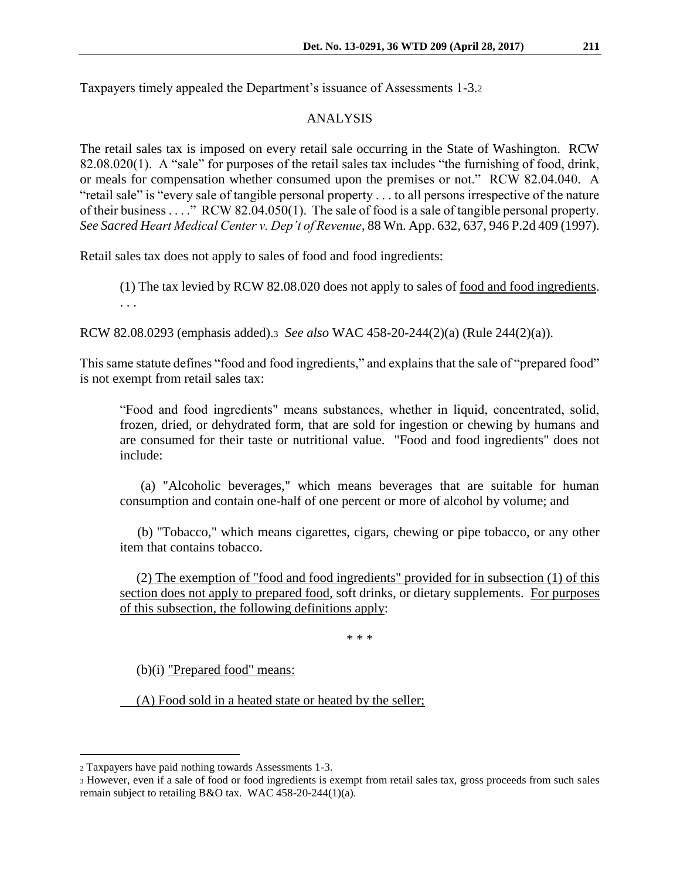Taxpayers timely appealed the Department's issuance of Assessments 1-3.<sup>2</sup>

# ANALYSIS

The retail sales tax is imposed on every retail sale occurring in the State of Washington. RCW 82.08.020(1). A "sale" for purposes of the retail sales tax includes "the furnishing of food, drink, or meals for compensation whether consumed upon the premises or not." RCW 82.04.040. A "retail sale" is "every sale of tangible personal property . . . to all persons irrespective of the nature of their business . . . ." RCW 82.04.050(1). The sale of food is a sale of tangible personal property. *See Sacred Heart Medical Center v. Dep't of Revenue*, 88 Wn. App. 632, 637, 946 P.2d 409 (1997).

Retail sales tax does not apply to sales of food and food ingredients:

(1) The tax levied by RCW 82.08.020 does not apply to sales of food and food ingredients. . . .

RCW 82.08.0293 (emphasis added).<sup>3</sup> *See also* WAC 458-20-244(2)(a) (Rule 244(2)(a)).

This same statute defines "food and food ingredients," and explains that the sale of "prepared food" is not exempt from retail sales tax:

"Food and food ingredients" means substances, whether in liquid, concentrated, solid, frozen, dried, or dehydrated form, that are sold for ingestion or chewing by humans and are consumed for their taste or nutritional value. "Food and food ingredients" does not include:

 (a) "Alcoholic beverages," which means beverages that are suitable for human consumption and contain one-half of one percent or more of alcohol by volume; and

 (b) "Tobacco," which means cigarettes, cigars, chewing or pipe tobacco, or any other item that contains tobacco.

 (2) The exemption of "food and food ingredients" provided for in subsection (1) of this section does not apply to prepared food, soft drinks, or dietary supplements. For purposes of this subsection, the following definitions apply:

\* \* \*

(b)(i) "Prepared food" means:

(A) Food sold in a heated state or heated by the seller;

 $\overline{a}$ 

<sup>2</sup> Taxpayers have paid nothing towards Assessments 1-3.

<sup>3</sup> However, even if a sale of food or food ingredients is exempt from retail sales tax, gross proceeds from such sales remain subject to retailing B&O tax. WAC 458-20-244(1)(a).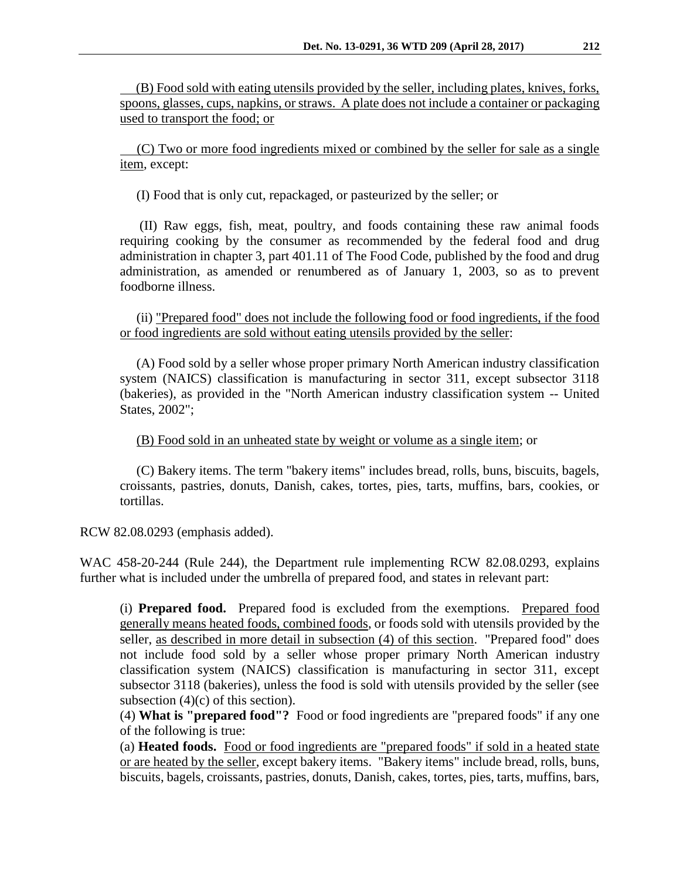(B) Food sold with eating utensils provided by the seller, including plates, knives, forks, spoons, glasses, cups, napkins, or straws. A plate does not include a container or packaging used to transport the food; or

 (C) Two or more food ingredients mixed or combined by the seller for sale as a single item, except:

(I) Food that is only cut, repackaged, or pasteurized by the seller; or

 (II) Raw eggs, fish, meat, poultry, and foods containing these raw animal foods requiring cooking by the consumer as recommended by the federal food and drug administration in chapter 3, part 401.11 of The Food Code, published by the food and drug administration, as amended or renumbered as of January 1, 2003, so as to prevent foodborne illness.

 (ii) "Prepared food" does not include the following food or food ingredients, if the food or food ingredients are sold without eating utensils provided by the seller:

 (A) Food sold by a seller whose proper primary North American industry classification system (NAICS) classification is manufacturing in sector 311, except subsector 3118 (bakeries), as provided in the "North American industry classification system -- United States, 2002";

(B) Food sold in an unheated state by weight or volume as a single item; or

 (C) Bakery items. The term "bakery items" includes bread, rolls, buns, biscuits, bagels, croissants, pastries, donuts, Danish, cakes, tortes, pies, tarts, muffins, bars, cookies, or tortillas.

RCW 82.08.0293 (emphasis added).

WAC 458-20-244 (Rule 244), the Department rule implementing RCW 82.08.0293, explains further what is included under the umbrella of prepared food, and states in relevant part:

(i) **Prepared food.** Prepared food is excluded from the exemptions. Prepared food generally means heated foods, combined foods, or foods sold with utensils provided by the seller, as described in more detail in subsection (4) of this section. "Prepared food" does not include food sold by a seller whose proper primary North American industry classification system (NAICS) classification is manufacturing in sector 311, except subsector 3118 (bakeries), unless the food is sold with utensils provided by the seller (see subsection  $(4)(c)$  of this section).

(4) **What is "prepared food"?** Food or food ingredients are "prepared foods" if any one of the following is true:

(a) **Heated foods.** Food or food ingredients are "prepared foods" if sold in a heated state or are heated by the seller, except bakery items. "Bakery items" include bread, rolls, buns, biscuits, bagels, croissants, pastries, donuts, Danish, cakes, tortes, pies, tarts, muffins, bars,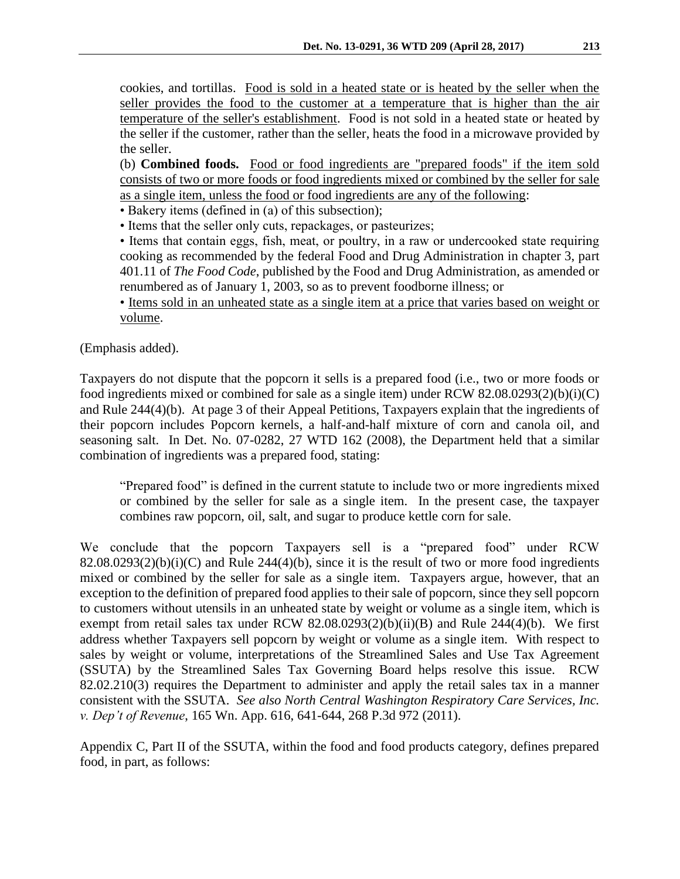cookies, and tortillas. Food is sold in a heated state or is heated by the seller when the seller provides the food to the customer at a temperature that is higher than the air temperature of the seller's establishment. Food is not sold in a heated state or heated by the seller if the customer, rather than the seller, heats the food in a microwave provided by the seller.

(b) **Combined foods.** Food or food ingredients are "prepared foods" if the item sold consists of two or more foods or food ingredients mixed or combined by the seller for sale as a single item, unless the food or food ingredients are any of the following:

• Bakery items (defined in (a) of this subsection);

• Items that the seller only cuts, repackages, or pasteurizes;

• Items that contain eggs, fish, meat, or poultry, in a raw or undercooked state requiring cooking as recommended by the federal Food and Drug Administration in chapter 3, part 401.11 of *The Food Code*, published by the Food and Drug Administration, as amended or renumbered as of January 1, 2003, so as to prevent foodborne illness; or

• Items sold in an unheated state as a single item at a price that varies based on weight or volume.

(Emphasis added).

Taxpayers do not dispute that the popcorn it sells is a prepared food (i.e., two or more foods or food ingredients mixed or combined for sale as a single item) under RCW 82.08.0293(2)(b)(i)(C) and Rule 244(4)(b). At page 3 of their Appeal Petitions, Taxpayers explain that the ingredients of their popcorn includes Popcorn kernels, a half-and-half mixture of corn and canola oil, and seasoning salt. In Det. No. 07-0282, 27 WTD 162 (2008), the Department held that a similar combination of ingredients was a prepared food, stating:

"Prepared food" is defined in the current statute to include two or more ingredients mixed or combined by the seller for sale as a single item. In the present case, the taxpayer combines raw popcorn, oil, salt, and sugar to produce kettle corn for sale.

We conclude that the popcorn Taxpayers sell is a "prepared food" under RCW  $82.08.0293(2)(b)(i)(C)$  and Rule 244(4)(b), since it is the result of two or more food ingredients mixed or combined by the seller for sale as a single item. Taxpayers argue, however, that an exception to the definition of prepared food applies to their sale of popcorn, since they sell popcorn to customers without utensils in an unheated state by weight or volume as a single item, which is exempt from retail sales tax under RCW  $82.08.0293(2)(b)(ii)(B)$  and Rule 244(4)(b). We first address whether Taxpayers sell popcorn by weight or volume as a single item. With respect to sales by weight or volume, interpretations of the Streamlined Sales and Use Tax Agreement (SSUTA) by the Streamlined Sales Tax Governing Board helps resolve this issue. RCW 82.02.210(3) requires the Department to administer and apply the retail sales tax in a manner consistent with the SSUTA. *See also North Central Washington Respiratory Care Services, Inc. v. Dep't of Revenue*, 165 Wn. App. 616, 641-644, 268 P.3d 972 (2011).

Appendix C, Part II of the SSUTA, within the food and food products category, defines prepared food, in part, as follows: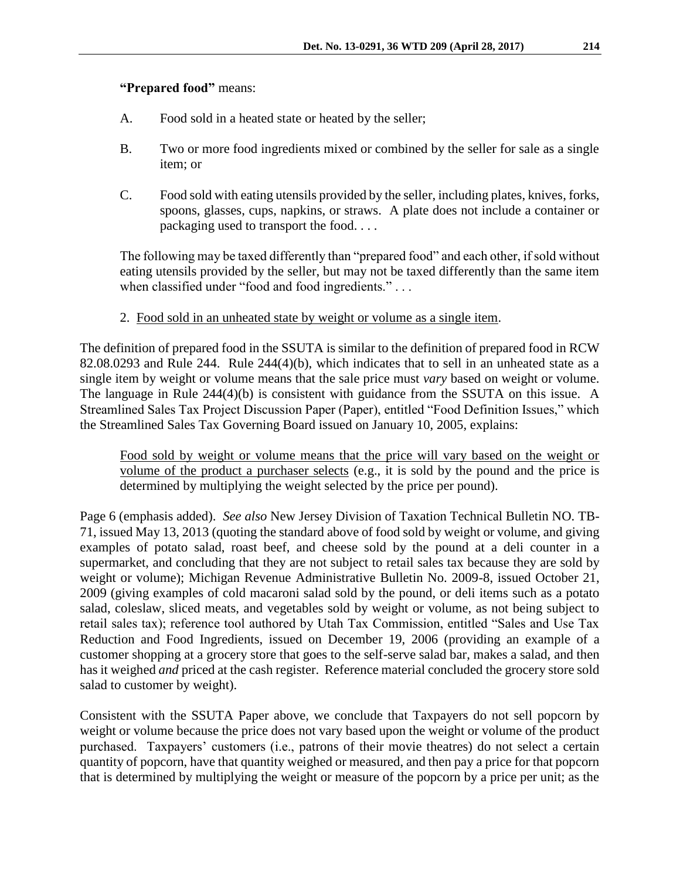# **"Prepared food"** means:

- A. Food sold in a heated state or heated by the seller;
- B. Two or more food ingredients mixed or combined by the seller for sale as a single item; or
- C. Food sold with eating utensils provided by the seller, including plates, knives, forks, spoons, glasses, cups, napkins, or straws. A plate does not include a container or packaging used to transport the food. . . .

The following may be taxed differently than "prepared food" and each other, if sold without eating utensils provided by the seller, but may not be taxed differently than the same item when classified under "food and food ingredients." . . .

2. Food sold in an unheated state by weight or volume as a single item.

The definition of prepared food in the SSUTA is similar to the definition of prepared food in RCW 82.08.0293 and Rule 244. Rule 244(4)(b), which indicates that to sell in an unheated state as a single item by weight or volume means that the sale price must *vary* based on weight or volume. The language in Rule 244(4)(b) is consistent with guidance from the SSUTA on this issue. A Streamlined Sales Tax Project Discussion Paper (Paper), entitled "Food Definition Issues," which the Streamlined Sales Tax Governing Board issued on January 10, 2005, explains:

Food sold by weight or volume means that the price will vary based on the weight or volume of the product a purchaser selects (e.g., it is sold by the pound and the price is determined by multiplying the weight selected by the price per pound).

Page 6 (emphasis added). *See also* New Jersey Division of Taxation Technical Bulletin NO. TB-71, issued May 13, 2013 (quoting the standard above of food sold by weight or volume, and giving examples of potato salad, roast beef, and cheese sold by the pound at a deli counter in a supermarket, and concluding that they are not subject to retail sales tax because they are sold by weight or volume); Michigan Revenue Administrative Bulletin No. 2009-8, issued October 21, 2009 (giving examples of cold macaroni salad sold by the pound, or deli items such as a potato salad, coleslaw, sliced meats, and vegetables sold by weight or volume, as not being subject to retail sales tax); reference tool authored by Utah Tax Commission, entitled "Sales and Use Tax Reduction and Food Ingredients, issued on December 19, 2006 (providing an example of a customer shopping at a grocery store that goes to the self-serve salad bar, makes a salad, and then has it weighed *and* priced at the cash register. Reference material concluded the grocery store sold salad to customer by weight).

Consistent with the SSUTA Paper above, we conclude that Taxpayers do not sell popcorn by weight or volume because the price does not vary based upon the weight or volume of the product purchased. Taxpayers' customers (i.e., patrons of their movie theatres) do not select a certain quantity of popcorn, have that quantity weighed or measured, and then pay a price for that popcorn that is determined by multiplying the weight or measure of the popcorn by a price per unit; as the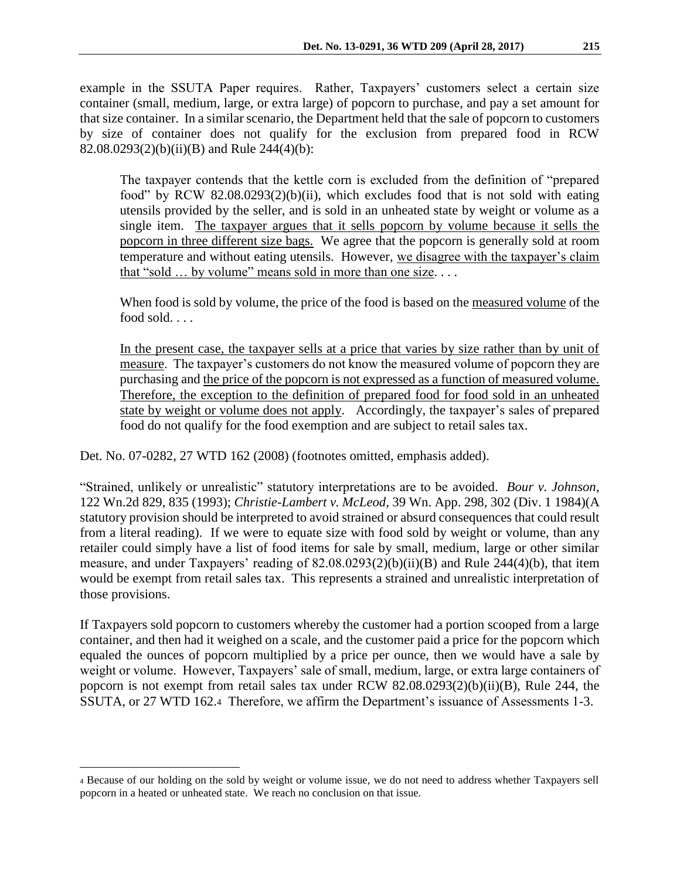example in the SSUTA Paper requires. Rather, Taxpayers' customers select a certain size container (small, medium, large, or extra large) of popcorn to purchase, and pay a set amount for that size container. In a similar scenario, the Department held that the sale of popcorn to customers by size of container does not qualify for the exclusion from prepared food in RCW 82.08.0293(2)(b)(ii)(B) and Rule 244(4)(b):

The taxpayer contends that the kettle corn is excluded from the definition of "prepared food" by RCW 82.08.0293(2)(b)(ii), which excludes food that is not sold with eating utensils provided by the seller, and is sold in an unheated state by weight or volume as a single item. The taxpayer argues that it sells popcorn by volume because it sells the popcorn in three different size bags. We agree that the popcorn is generally sold at room temperature and without eating utensils. However, we disagree with the taxpayer's claim that "sold … by volume" means sold in more than one size. . . .

When food is sold by volume, the price of the food is based on the measured volume of the food sold. . . .

In the present case, the taxpayer sells at a price that varies by size rather than by unit of measure. The taxpayer's customers do not know the measured volume of popcorn they are purchasing and the price of the popcorn is not expressed as a function of measured volume. Therefore, the exception to the definition of prepared food for food sold in an unheated state by weight or volume does not apply. Accordingly, the taxpayer's sales of prepared food do not qualify for the food exemption and are subject to retail sales tax.

Det. No. 07-0282, 27 WTD 162 (2008) (footnotes omitted, emphasis added).

"Strained, unlikely or unrealistic" statutory interpretations are to be avoided. *Bour v. Johnson*, 122 Wn.2d 829, 835 (1993); *Christie-Lambert v. McLeod*, 39 Wn. App. 298, 302 (Div. 1 1984)(A statutory provision should be interpreted to avoid strained or absurd consequences that could result from a literal reading). If we were to equate size with food sold by weight or volume, than any retailer could simply have a list of food items for sale by small, medium, large or other similar measure, and under Taxpayers' reading of 82.08.0293(2)(b)(ii)(B) and Rule 244(4)(b), that item would be exempt from retail sales tax. This represents a strained and unrealistic interpretation of those provisions.

If Taxpayers sold popcorn to customers whereby the customer had a portion scooped from a large container, and then had it weighed on a scale, and the customer paid a price for the popcorn which equaled the ounces of popcorn multiplied by a price per ounce, then we would have a sale by weight or volume. However, Taxpayers' sale of small, medium, large, or extra large containers of popcorn is not exempt from retail sales tax under RCW 82.08.0293(2)(b)(ii)(B), Rule 244, the SSUTA, or 27 WTD 162.4 Therefore, we affirm the Department's issuance of Assessments 1-3.

 $\overline{a}$ 

<sup>4</sup> Because of our holding on the sold by weight or volume issue, we do not need to address whether Taxpayers sell popcorn in a heated or unheated state. We reach no conclusion on that issue.